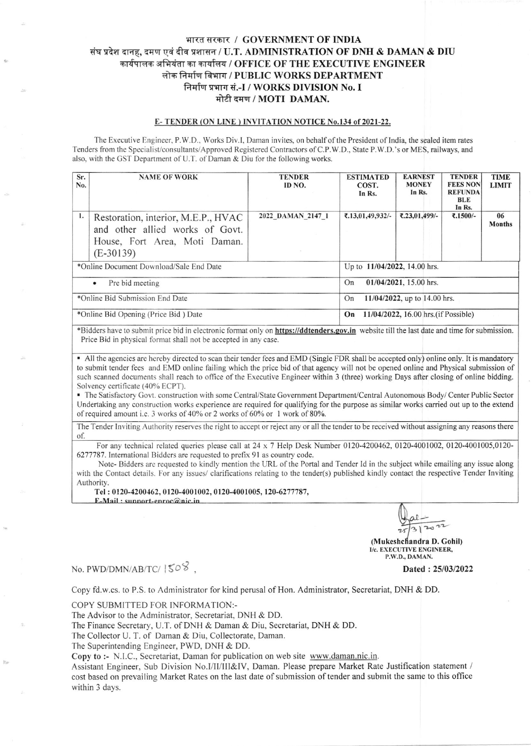## भारत सरकार / GOVERNMENT OF INDIA संघ प्रदेश दानह, दमण एवं दीव प्रशासन / U.T. ADMINISTRATION OF DNH & DAMAN & DIU कार्यपालक अभियंता का कार्यालय / OFFICE OF THE EXECUTIVE ENGINEER लोक निर्माण विभाग / PUBLIC WORKS DEPARTMENT निर्माण प्रभाग सं.-I / WORKS DIVISION No. I मोटी दमण / MOTI DAMAN.

## E-TENDER (ON LINE) INVITATION NOTICE No.134 of 2021-22.

The Executive Engineer, P.W.D., Works Div.I, Daman invites, on behalf of the President of India, the sealed item rates Tenders from the Specialist/consultants/Approved Registered Contractors of C.P.W.D., State P.W.D.'s or MES, railways, and also, with the GST Department of U.T. of Daman & Diu for the following works.

| Sr.<br>No.                              | <b>NAME OF WORK</b>                                                                                                    | <b>TENDER</b><br>ID NO. | <b>ESTIMATED</b><br>COST.<br>In Rs.        | <b>EARNEST</b><br><b>MONEY</b><br>In Rs. | <b>TENDER</b><br><b>FEES NON</b><br><b>REFUNDA</b><br>BLE<br>In Rs. | <b>TIME</b><br><b>LIMIT</b> |  |
|-----------------------------------------|------------------------------------------------------------------------------------------------------------------------|-------------------------|--------------------------------------------|------------------------------------------|---------------------------------------------------------------------|-----------------------------|--|
| 1.                                      | Restoration, interior, M.E.P., HVAC<br>and other allied works of Govt.<br>House, Fort Area, Moti Daman.<br>$(E-30139)$ | 2022 DAMAN 2147 1       | ₹.13,01,49,932/-                           | $7.23,01,499/$ -                         | ₹.1500/-                                                            | 06<br><b>Months</b>         |  |
| *Online Document Download/Sale End Date |                                                                                                                        |                         | Up to 11/04/2022, 14.00 hrs.               |                                          |                                                                     |                             |  |
| Pre bid meeting<br>$\bullet$            |                                                                                                                        |                         | 01/04/2021, 15.00 hrs.<br>On               |                                          |                                                                     |                             |  |
| *Online Bid Submission End Date         |                                                                                                                        |                         | 11/04/2022, up to 14.00 hrs.<br>On         |                                          |                                                                     |                             |  |
| *Online Bid Opening (Price Bid) Date    |                                                                                                                        |                         | 11/04/2022, 16.00 hrs. (if Possible)<br>On |                                          |                                                                     |                             |  |

\*Bidders have to submit price bid in electronic format only on https://ddtenders.gov.in website till the last date and time for submission. Price Bid in physical format shall not be accepted in any case.

• All the agencies are hereby directed to scan their tender fees and EMD (Single FDR shall be accepted only) online only. It is mandatory to submit tender fees and EMD online failing which the price bid of that agency will not be opened online and Physical submission of such scanned documents shall reach to office of the Executive Engineer within 3 (three) working Days after closing of online bidding. Solvency certificate (40% ECPT).

• The Satisfactory Govt. construction with some Central/State Government Department/Central Autonomous Body/Center Public Sector Undertaking any construction works experience are required for qualifying for the purpose as similar works carried out up to the extend of required amount i.e. 3 works of 40% or 2 works of 60% or 1 work of 80%.

The Tender Inviting Authority reserves the right to accept or reject any or all the tender to be received without assigning any reasons there of.

For any technical related queries please call at  $24 \times 7$  Help Desk Number 0120-4200462, 0120-4001002, 0120-4001005,0120-6277787. International Bidders are requested to prefix 91 as country code.

Note-Bidders are requested to kindly mention the URL of the Portal and Tender Id in the subject while emailing any issue along with the Contact details. For any issues/ clarifications relating to the tender(s) published kindly contact the respective Tender Inviting Authority.

Tel: 0120-4200462, 0120-4001002, 0120-4001005, 120-6277787,

E-Mail: sunnort-enroc@nic.in

(Mukeshchandra D. Gohil) I/c. EXECUTIVE ENGINEER, P.W.D., DAMAN.

## No. PWD/DMN/AB/TC/ $|50\%$ .

Dated: 25/03/2022

Copy fd.w.cs. to P.S. to Administrator for kind perusal of Hon. Administrator, Secretariat, DNH & DD.

COPY SUBMITTED FOR INFORMATION:-

The Advisor to the Administrator, Secretariat, DNH & DD.

The Finance Secretary, U.T. of DNH & Daman & Diu, Secretariat, DNH & DD.

The Collector U. T. of Daman & Diu, Collectorate, Daman.

The Superintending Engineer, PWD, DNH & DD.

Copy to :- N.I.C., Secretariat, Daman for publication on web site www.daman.nic.in.

Assistant Engineer, Sub Division No.I/II/III&IV, Daman. Please prepare Market Rate Justification statement / cost based on prevailing Market Rates on the last date of submission of tender and submit the same to this office within 3 days.